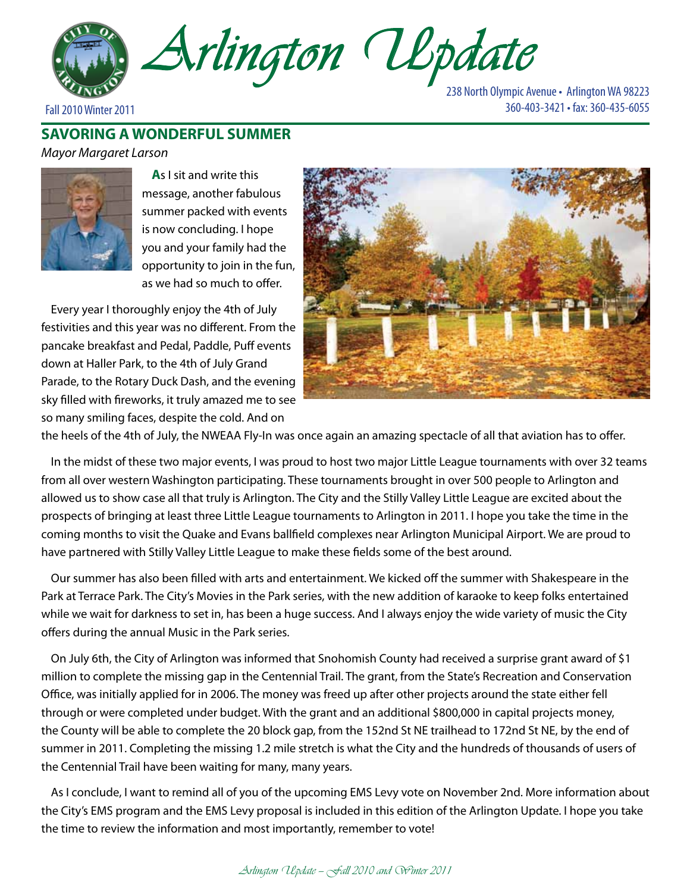

238 North Olympic Avenue • Arlington WA 98223 Fall 2010 Winter 2011 360-403-3421 • fax: 360-435-6055

## **SAVORING A WONDERFUL SUMMER**

### *Mayor Margaret Larson*



**A**s I sit and write this message, another fabulous summer packed with events is now concluding. I hope you and your family had the opportunity to join in the fun, as we had so much to offer.

Every year I thoroughly enjoy the 4th of July festivities and this year was no different. From the pancake breakfast and Pedal, Paddle, Puff events down at Haller Park, to the 4th of July Grand Parade, to the Rotary Duck Dash, and the evening sky filled with fireworks, it truly amazed me to see so many smiling faces, despite the cold. And on



the heels of the 4th of July, the NWEAA Fly-In was once again an amazing spectacle of all that aviation has to offer.

In the midst of these two major events, I was proud to host two major Little League tournaments with over 32 teams from all over western Washington participating. These tournaments brought in over 500 people to Arlington and allowed us to show case all that truly is Arlington. The City and the Stilly Valley Little League are excited about the prospects of bringing at least three Little League tournaments to Arlington in 2011. I hope you take the time in the coming months to visit the Quake and Evans ballfield complexes near Arlington Municipal Airport. We are proud to have partnered with Stilly Valley Little League to make these fields some of the best around.

Our summer has also been filled with arts and entertainment. We kicked off the summer with Shakespeare in the Park at Terrace Park. The City's Movies in the Park series, with the new addition of karaoke to keep folks entertained while we wait for darkness to set in, has been a huge success. And I always enjoy the wide variety of music the City offers during the annual Music in the Park series.

On July 6th, the City of Arlington was informed that Snohomish County had received a surprise grant award of \$1 million to complete the missing gap in the Centennial Trail. The grant, from the State's Recreation and Conservation Office, was initially applied for in 2006. The money was freed up after other projects around the state either fell through or were completed under budget. With the grant and an additional \$800,000 in capital projects money, the County will be able to complete the 20 block gap, from the 152nd St NE trailhead to 172nd St NE, by the end of summer in 2011. Completing the missing 1.2 mile stretch is what the City and the hundreds of thousands of users of the Centennial Trail have been waiting for many, many years.

As I conclude, I want to remind all of you of the upcoming EMS Levy vote on November 2nd. More information about the City's EMS program and the EMS Levy proposal is included in this edition of the Arlington Update. I hope you take the time to review the information and most importantly, remember to vote!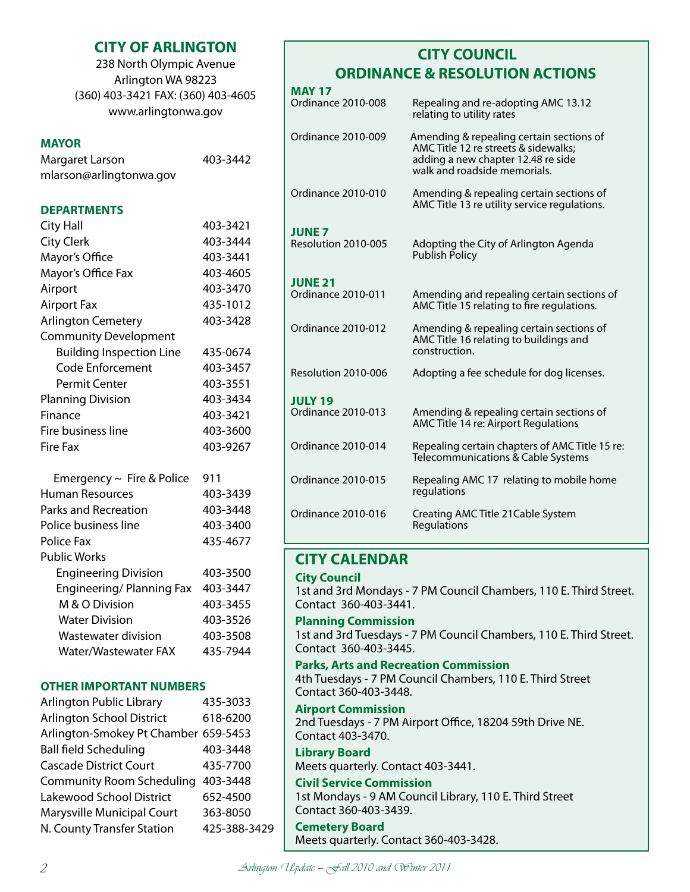## **CITY OF ARLINGTON**

238 North Olympic Avenue Arlington WA 98223 (360) 403-3421 FAX: (360) 403-4605 www.arlingtonwa.gov

### **MAYOR**

| Margaret Larson         | 403-3442 |
|-------------------------|----------|
| mlarson@arlingtonwa.gov |          |

### **DEPARTMENTS**

| <b>City Hall</b>                | 403-3421 |
|---------------------------------|----------|
| <b>City Clerk</b>               | 403-3444 |
| Mayor's Office                  | 403-3441 |
| Mayor's Office Fax              | 403-4605 |
| Airport                         | 403-3470 |
| <b>Airport Fax</b>              | 435-1012 |
| <b>Arlington Cemetery</b>       | 403-3428 |
| <b>Community Development</b>    |          |
| <b>Building Inspection Line</b> | 435-0674 |
| Code Enforcement                | 403-3457 |
| Permit Center                   | 403-3551 |
| <b>Planning Division</b>        | 403-3434 |
| Finance                         | 403-3421 |
| Fire business line              | 403-3600 |
| Fire Fax                        | 403-9267 |

| Emergency $\sim$ Fire & Police | 911      |
|--------------------------------|----------|
| Human Resources                | 403-3439 |
| Parks and Recreation           | 403-3448 |
| Police business line           | 403-3400 |
| Police Fax                     | 435-4677 |
| <b>Public Works</b>            |          |
| <b>Engineering Division</b>    | 403-3500 |
| Engineering/Planning Fax       | 403-3447 |
| M & O Division                 | 403-3455 |
| <b>Water Division</b>          | 403-3526 |
| Wastewater division            | 403-3508 |
| Water/Wastewater FAX           | 435-7944 |
|                                |          |

### **OTHER IMPORTANT NUMBERS**

| Arlington Public Library             | 435-3033     |
|--------------------------------------|--------------|
| <b>Arlington School District</b>     | 618-6200     |
| Arlington-Smokey Pt Chamber 659-5453 |              |
| <b>Ball field Scheduling</b>         | 403-3448     |
| <b>Cascade District Court</b>        | 435-7700     |
| <b>Community Room Scheduling</b>     | 403-3448     |
| Lakewood School District             | 652-4500     |
| Marysville Municipal Court           | 363-8050     |
| N. County Transfer Station           | 425-388-3429 |
|                                      |              |

# **CITY COUNCIL ORDINANCE & RESOLUTION ACTIONS**

| <b>MAY 17</b>                        |                                                                                                                                                        |
|--------------------------------------|--------------------------------------------------------------------------------------------------------------------------------------------------------|
| Ordinance 2010-008                   | Repealing and re-adopting AMC 13.12<br>relating to utility rates                                                                                       |
| Ordinance 2010-009                   | Amending & repealing certain sections of<br>AMC Title 12 re streets & sidewalks;<br>adding a new chapter 12.48 re side<br>walk and roadside memorials. |
| Ordinance 2010-010                   | Amending & repealing certain sections of<br>AMC Title 13 re utility service regulations.                                                               |
| <b>JUNE 7</b><br>Resolution 2010-005 | Adopting the City of Arlington Agenda<br><b>Publish Policy</b>                                                                                         |
| <b>JUNE 21</b><br>Ordinance 2010-011 | Amending and repealing certain sections of<br>AMC Title 15 relating to fire regulations.                                                               |
| Ordinance 2010-012                   | Amending & repealing certain sections of<br>AMC Title 16 relating to buildings and<br>construction.                                                    |
| Resolution 2010-006                  | Adopting a fee schedule for dog licenses.                                                                                                              |
| <b>JULY 19</b>                       |                                                                                                                                                        |
| Ordinance 2010-013                   | Amending & repealing certain sections of<br>AMC Title 14 re: Airport Regulations                                                                       |
| Ordinance 2010-014                   | Repealing certain chapters of AMC Title 15 re:<br>Telecommunications & Cable Systems                                                                   |
| Ordinance 2010-015                   | Repealing AMC 17 relating to mobile home<br>regulations                                                                                                |
| Ordinance 2010-016                   | Creating AMC Title 21 Cable System<br>Regulations                                                                                                      |

### **CITY CALENDAR**

### **City Council**

1st and 3rd Mondays - 7 PM Council Chambers, 110 E. Third Street. Contact 360-403-3441.

### **Planning Commission**

1st and 3rd Tuesdays - 7 PM Council Chambers, 110 E. Third Street. Contact 360-403-3445.

### **Parks, Arts and Recreation Commission**

4th Tuesdays - 7 PM Council Chambers, 110 E. Third Street Contact 360-403-3448.

### **Airport Commission**

2nd Tuesdays - 7 PM Airport Office, 18204 59th Drive NE. Contact 403-3470.

#### **Library Board** Meets quarterly. Contact 403-3441.

### **Civil Service Commission**

1st Mondays - 9 AM Council Library, 110 E. Third Street Contact 360-403-3439.

## **Cemetery Board**

Meets quarterly. Contact 360-403-3428.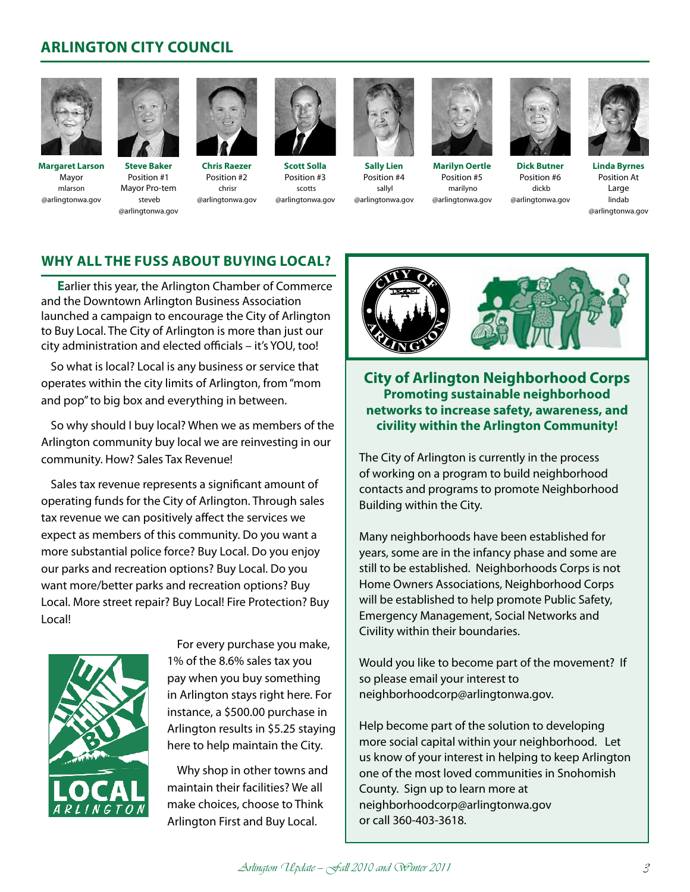## **ARLINGTON CITY COUNCIL**



**Margaret Larson** Mayor mlarson @arlingtonwa.gov



**Steve Baker** Position #1 Mayor Pro-tem steveb @arlingtonwa.gov



chrisr

**Chris Raezer** Position #2 @arlingtonwa.gov **Scott Solla** Position #3 scotts @arlingtonwa.gov



**Sally Lien** Position #4 sallyl @arlingtonwa.gov



**Marilyn Oertle** Position #5 marilyno @arlingtonwa.gov



**Dick Butner** Position #6 dickb @arlingtonwa.gov

**Linda Byrnes** Position At Large lindab @arlingtonwa.gov

### **Why all the fuss about buying local?**

**E**arlier this year, the Arlington Chamber of Commerce and the Downtown Arlington Business Association launched a campaign to encourage the City of Arlington to Buy Local. The City of Arlington is more than just our city administration and elected officials – it's YOU, too!

So what is local? Local is any business or service that operates within the city limits of Arlington, from "mom and pop" to big box and everything in between.

So why should I buy local? When we as members of the Arlington community buy local we are reinvesting in our community. How? Sales Tax Revenue!

Sales tax revenue represents a significant amount of operating funds for the City of Arlington. Through sales tax revenue we can positively affect the services we expect as members of this community. Do you want a more substantial police force? Buy Local. Do you enjoy our parks and recreation options? Buy Local. Do you want more/better parks and recreation options? Buy Local. More street repair? Buy Local! Fire Protection? Buy Local!



For every purchase you make, 1% of the 8.6% sales tax you pay when you buy something in Arlington stays right here. For instance, a \$500.00 purchase in Arlington results in \$5.25 staying here to help maintain the City.

Why shop in other towns and maintain their facilities? We all make choices, choose to Think Arlington First and Buy Local.



**City of Arlington Neighborhood Corps Promoting sustainable neighborhood networks to increase safety, awareness, and civility within the Arlington Community!**

The City of Arlington is currently in the process of working on a program to build neighborhood contacts and programs to promote Neighborhood Building within the City.

Many neighborhoods have been established for years, some are in the infancy phase and some are still to be established. Neighborhoods Corps is not Home Owners Associations, Neighborhood Corps will be established to help promote Public Safety, Emergency Management, Social Networks and Civility within their boundaries.

Would you like to become part of the movement? If so please email your interest to neighborhoodcorp@arlingtonwa.gov.

Help become part of the solution to developing more social capital within your neighborhood. Let us know of your interest in helping to keep Arlington one of the most loved communities in Snohomish County. Sign up to learn more at neighborhoodcorp@arlingtonwa.gov or call 360-403-3618.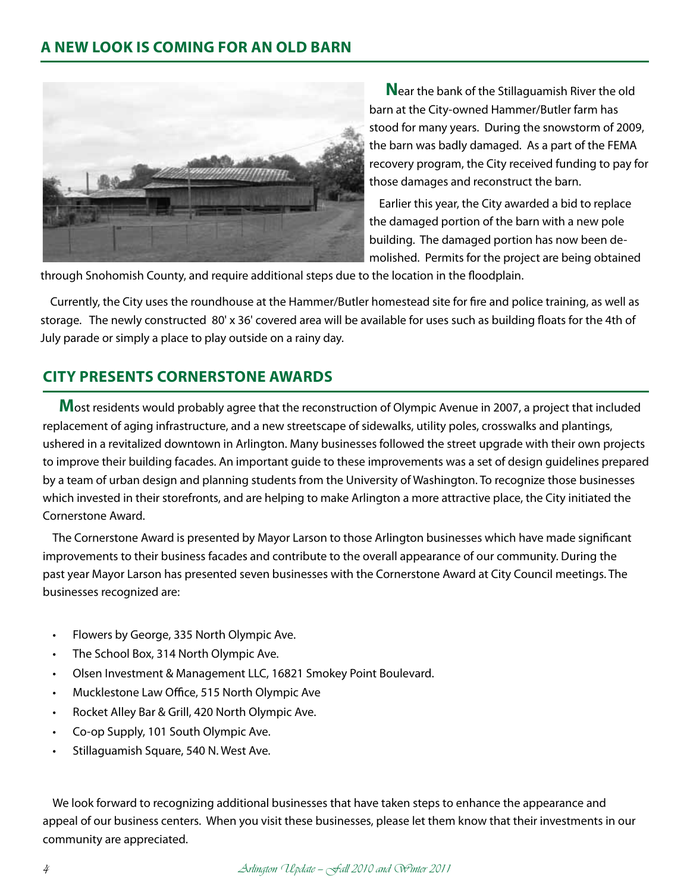

**N**ear the bank of the Stillaguamish River the old barn at the City-owned Hammer/Butler farm has stood for many years. During the snowstorm of 2009, the barn was badly damaged. As a part of the FEMA recovery program, the City received funding to pay for those damages and reconstruct the barn.

Earlier this year, the City awarded a bid to replace the damaged portion of the barn with a new pole building. The damaged portion has now been demolished. Permits for the project are being obtained

through Snohomish County, and require additional steps due to the location in the floodplain.

Currently, the City uses the roundhouse at the Hammer/Butler homestead site for fire and police training, as well as storage. The newly constructed 80' x 36' covered area will be available for uses such as building floats for the 4th of July parade or simply a place to play outside on a rainy day.

## **CITY PRESENTS CORNERSTONE AWARDS**

**M**ost residents would probably agree that the reconstruction of Olympic Avenue in 2007, a project that included replacement of aging infrastructure, and a new streetscape of sidewalks, utility poles, crosswalks and plantings, ushered in a revitalized downtown in Arlington. Many businesses followed the street upgrade with their own projects to improve their building facades. An important guide to these improvements was a set of design guidelines prepared by a team of urban design and planning students from the University of Washington. To recognize those businesses which invested in their storefronts, and are helping to make Arlington a more attractive place, the City initiated the Cornerstone Award.

The Cornerstone Award is presented by Mayor Larson to those Arlington businesses which have made significant improvements to their business facades and contribute to the overall appearance of our community. During the past year Mayor Larson has presented seven businesses with the Cornerstone Award at City Council meetings. The businesses recognized are:

- Flowers by George, 335 North Olympic Ave.
- The School Box, 314 North Olympic Ave.
- Olsen Investment & Management LLC, 16821 Smokey Point Boulevard.
- Mucklestone Law Office, 515 North Olympic Ave
- Rocket Alley Bar & Grill, 420 North Olympic Ave.
- Co-op Supply, 101 South Olympic Ave.
- Stillaguamish Square, 540 N. West Ave.

We look forward to recognizing additional businesses that have taken steps to enhance the appearance and appeal of our business centers. When you visit these businesses, please let them know that their investments in our community are appreciated.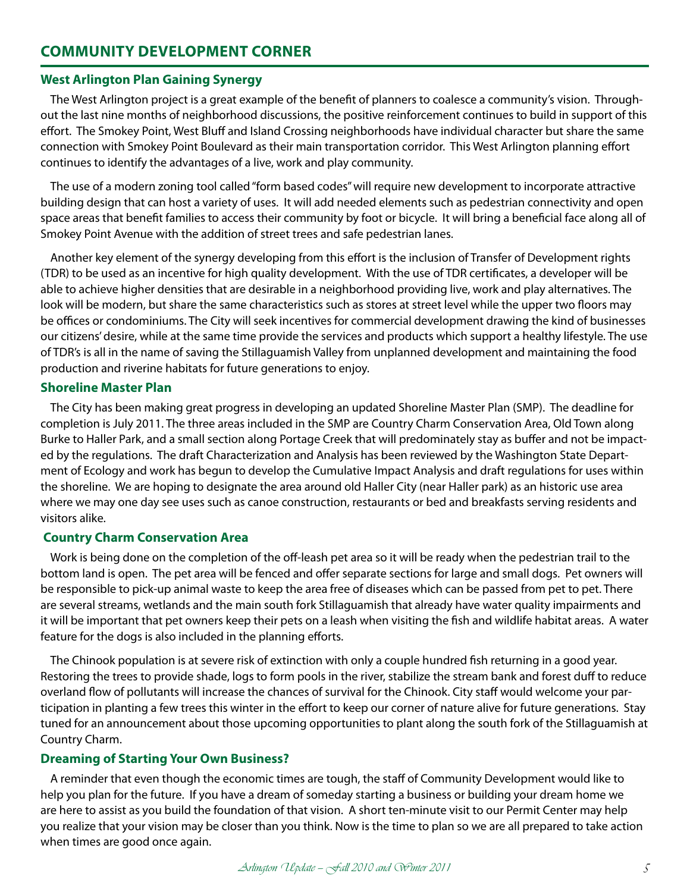### **West Arlington Plan Gaining Synergy**

The West Arlington project is a great example of the benefit of planners to coalesce a community's vision. Throughout the last nine months of neighborhood discussions, the positive reinforcement continues to build in support of this effort. The Smokey Point, West Bluff and Island Crossing neighborhoods have individual character but share the same connection with Smokey Point Boulevard as their main transportation corridor. This West Arlington planning effort continues to identify the advantages of a live, work and play community.

The use of a modern zoning tool called "form based codes" will require new development to incorporate attractive building design that can host a variety of uses. It will add needed elements such as pedestrian connectivity and open space areas that benefit families to access their community by foot or bicycle. It will bring a beneficial face along all of Smokey Point Avenue with the addition of street trees and safe pedestrian lanes.

Another key element of the synergy developing from this effort is the inclusion of Transfer of Development rights (TDR) to be used as an incentive for high quality development. With the use of TDR certificates, a developer will be able to achieve higher densities that are desirable in a neighborhood providing live, work and play alternatives. The look will be modern, but share the same characteristics such as stores at street level while the upper two floors may be offices or condominiums. The City will seek incentives for commercial development drawing the kind of businesses our citizens' desire, while at the same time provide the services and products which support a healthy lifestyle. The use of TDR's is all in the name of saving the Stillaguamish Valley from unplanned development and maintaining the food production and riverine habitats for future generations to enjoy.

### **Shoreline Master Plan**

The City has been making great progress in developing an updated Shoreline Master Plan (SMP). The deadline for completion is July 2011. The three areas included in the SMP are Country Charm Conservation Area, Old Town along Burke to Haller Park, and a small section along Portage Creek that will predominately stay as buffer and not be impacted by the regulations. The draft Characterization and Analysis has been reviewed by the Washington State Department of Ecology and work has begun to develop the Cumulative Impact Analysis and draft regulations for uses within the shoreline. We are hoping to designate the area around old Haller City (near Haller park) as an historic use area where we may one day see uses such as canoe construction, restaurants or bed and breakfasts serving residents and visitors alike.

### **Country Charm Conservation Area**

Work is being done on the completion of the off-leash pet area so it will be ready when the pedestrian trail to the bottom land is open. The pet area will be fenced and offer separate sections for large and small dogs. Pet owners will be responsible to pick-up animal waste to keep the area free of diseases which can be passed from pet to pet. There are several streams, wetlands and the main south fork Stillaguamish that already have water quality impairments and it will be important that pet owners keep their pets on a leash when visiting the fish and wildlife habitat areas. A water feature for the dogs is also included in the planning efforts.

The Chinook population is at severe risk of extinction with only a couple hundred fish returning in a good year. Restoring the trees to provide shade, logs to form pools in the river, stabilize the stream bank and forest duff to reduce overland flow of pollutants will increase the chances of survival for the Chinook. City staff would welcome your participation in planting a few trees this winter in the effort to keep our corner of nature alive for future generations. Stay tuned for an announcement about those upcoming opportunities to plant along the south fork of the Stillaguamish at Country Charm.

### **Dreaming of Starting Your Own Business?**

A reminder that even though the economic times are tough, the staff of Community Development would like to help you plan for the future. If you have a dream of someday starting a business or building your dream home we are here to assist as you build the foundation of that vision. A short ten-minute visit to our Permit Center may help you realize that your vision may be closer than you think. Now is the time to plan so we are all prepared to take action when times are good once again.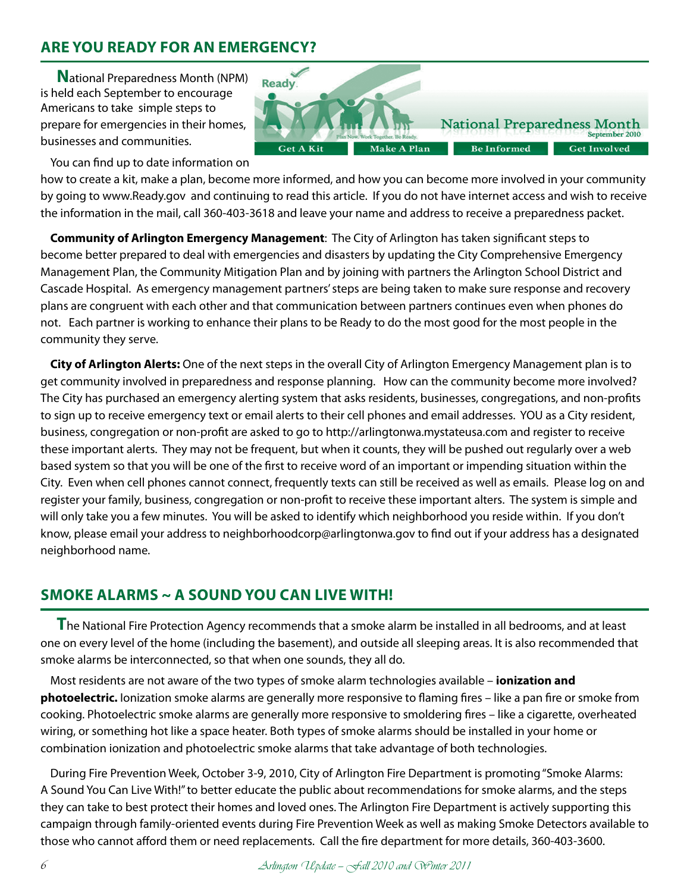## **ARE YOU READY FOR AN EMERGENCY?**

**N**ational Preparedness Month (NPM) is held each September to encourage Americans to take simple steps to prepare for emergencies in their homes, businesses and communities.

You can find up to date information on how to create a kit, make a plan, become more informed, and how you can become more involved in your community by going to www.Ready.gov and continuing to read this article. If you do not have internet access and wish to receive the information in the mail, call 360-403-3618 and leave your name and address to receive a preparedness packet.

Make A Plan

**National Preparedness Month** 

**Be Informed** 

September 2010

**Get Involved** 

**Ready** 

**Get A Kit** 

**Community of Arlington Emergency Management**: The City of Arlington has taken significant steps to become better prepared to deal with emergencies and disasters by updating the City Comprehensive Emergency Management Plan, the Community Mitigation Plan and by joining with partners the Arlington School District and Cascade Hospital. As emergency management partners' steps are being taken to make sure response and recovery plans are congruent with each other and that communication between partners continues even when phones do not. Each partner is working to enhance their plans to be Ready to do the most good for the most people in the community they serve.

**City of Arlington Alerts:** One of the next steps in the overall City of Arlington Emergency Management plan is to get community involved in preparedness and response planning. How can the community become more involved? The City has purchased an emergency alerting system that asks residents, businesses, congregations, and non-profits to sign up to receive emergency text or email alerts to their cell phones and email addresses. YOU as a City resident, business, congregation or non-profit are asked to go to http://arlingtonwa.mystateusa.com and register to receive these important alerts. They may not be frequent, but when it counts, they will be pushed out regularly over a web based system so that you will be one of the first to receive word of an important or impending situation within the City. Even when cell phones cannot connect, frequently texts can still be received as well as emails. Please log on and register your family, business, congregation or non-profit to receive these important alters. The system is simple and will only take you a few minutes. You will be asked to identify which neighborhood you reside within. If you don't know, please email your address to neighborhoodcorp@arlingtonwa.gov to find out if your address has a designated neighborhood name.

## **SMOKE ALARMS ~ A SOUND YOU CAN LIVE WITH!**

**T**he National Fire Protection Agency recommends that a smoke alarm be installed in all bedrooms, and at least one on every level of the home (including the basement), and outside all sleeping areas. It is also recommended that smoke alarms be interconnected, so that when one sounds, they all do.

Most residents are not aware of the two types of smoke alarm technologies available – **ionization and photoelectric.** Ionization smoke alarms are generally more responsive to flaming fires – like a pan fire or smoke from cooking. Photoelectric smoke alarms are generally more responsive to smoldering fires – like a cigarette, overheated wiring, or something hot like a space heater. Both types of smoke alarms should be installed in your home or combination ionization and photoelectric smoke alarms that take advantage of both technologies.

During Fire Prevention Week, October 3-9, 2010, City of Arlington Fire Department is promoting "Smoke Alarms: A Sound You Can Live With!" to better educate the public about recommendations for smoke alarms, and the steps they can take to best protect their homes and loved ones. The Arlington Fire Department is actively supporting this campaign through family-oriented events during Fire Prevention Week as well as making Smoke Detectors available to those who cannot afford them or need replacements. Call the fire department for more details, 360-403-3600.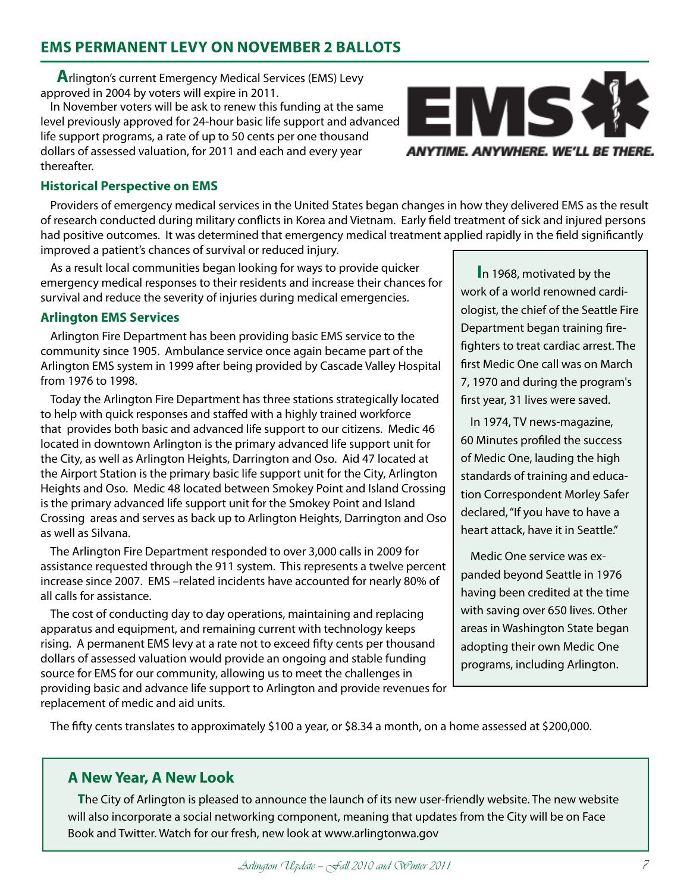## **EMS PERMANENT LEVY ON NOVEMBER 2 BALLOTS**

**A**rlington's current Emergency Medical Services (EMS) Levy approved in 2004 by voters will expire in 2011.

In November voters will be ask to renew this funding at the same level previously approved for 24-hour basic life support and advanced life support programs, a rate of up to 50 cents per one thousand dollars of assessed valuation, for 2011 and each and every year thereafter.



### **Historical Perspective on EMS**

Providers of emergency medical services in the United States began changes in how they delivered EMS as the result of research conducted during military conflicts in Korea and Vietnam. Early field treatment of sick and injured persons had positive outcomes. It was determined that emergency medical treatment applied rapidly in the field significantly improved a patient's chances of survival or reduced injury.

As a result local communities began looking for ways to provide quicker emergency medical responses to their residents and increase their chances for survival and reduce the severity of injuries during medical emergencies.

### **Arlington EMS Services**

Arlington Fire Department has been providing basic EMS service to the community since 1905. Ambulance service once again became part of the Arlington EMS system in 1999 after being provided by Cascade Valley Hospital from 1976 to 1998.

Today the Arlington Fire Department has three stations strategically located to help with quick responses and staffed with a highly trained workforce that provides both basic and advanced life support to our citizens. Medic 46 located in downtown Arlington is the primary advanced life support unit for the City, as well as Arlington Heights, Darrington and Oso. Aid 47 located at the Airport Station is the primary basic life support unit for the City, Arlington Heights and Oso. Medic 48 located between Smokey Point and Island Crossing is the primary advanced life support unit for the Smokey Point and Island Crossing areas and serves as back up to Arlington Heights, Darrington and Oso as well as Silvana.

The Arlington Fire Department responded to over 3,000 calls in 2009 for assistance requested through the 911 system. This represents a twelve percent increase since 2007. EMS –related incidents have accounted for nearly 80% of all calls for assistance.

The cost of conducting day to day operations, maintaining and replacing apparatus and equipment, and remaining current with technology keeps rising. A permanent EMS levy at a rate not to exceed fifty cents per thousand dollars of assessed valuation would provide an ongoing and stable funding source for EMS for our community, allowing us to meet the challenges in providing basic and advance life support to Arlington and provide revenues for replacement of medic and aid units.

**I**n 1968, motivated by the work of a world renowned cardiologist, the chief of the Seattle Fire Department began training firefighters to treat cardiac arrest. The first Medic One call was on March 7, 1970 and during the program's first year, 31 lives were saved.

In 1974, TV news-magazine, 60 Minutes profiled the success of Medic One, lauding the high standards of training and education Correspondent Morley Safer declared, "If you have to have a heart attack, have it in Seattle."

Medic One service was expanded beyond Seattle in 1976 having been credited at the time with saving over 650 lives. Other areas in Washington State began adopting their own Medic One programs, including Arlington.

The fifty cents translates to approximately \$100 a year, or \$8.34 a month, on a home assessed at \$200,000.

### **A New Year, A New Look**

**T**he City of Arlington is pleased to announce the launch of its new user-friendly website. The new website will also incorporate a social networking component, meaning that updates from the City will be on Face Book and Twitter. Watch for our fresh, new look at www.arlingtonwa.gov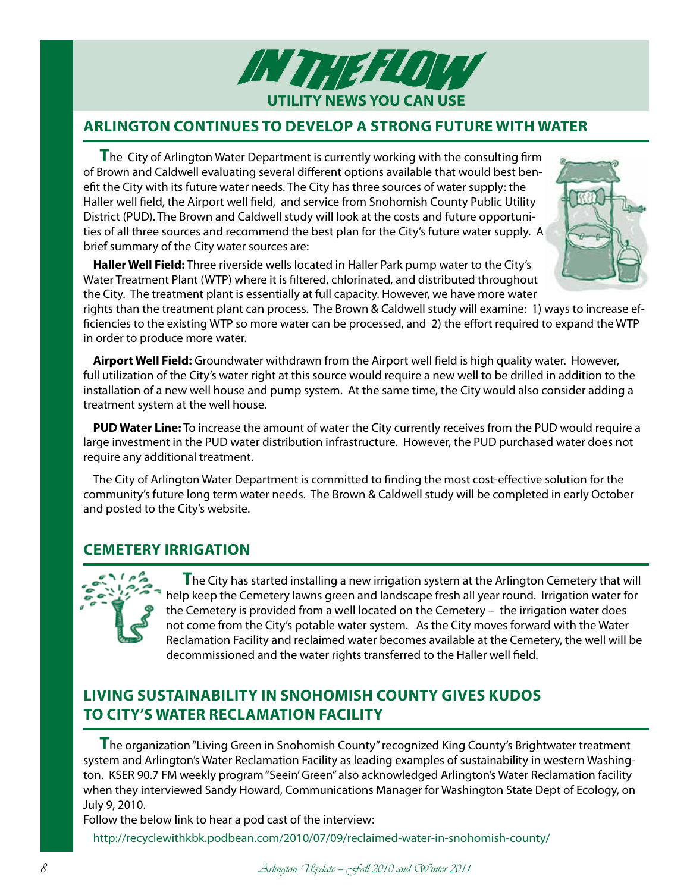

## **Arlington Continues to Develop a Strong Future with Water**

**T**he City of Arlington Water Department is currently working with the consulting firm of Brown and Caldwell evaluating several different options available that would best benefit the City with its future water needs. The City has three sources of water supply: the Haller well field, the Airport well field, and service from Snohomish County Public Utility District (PUD). The Brown and Caldwell study will look at the costs and future opportunities of all three sources and recommend the best plan for the City's future water supply. A brief summary of the City water sources are:

**Haller Well Field:** Three riverside wells located in Haller Park pump water to the City's Water Treatment Plant (WTP) where it is filtered, chlorinated, and distributed throughout the City. The treatment plant is essentially at full capacity. However, we have more water



rights than the treatment plant can process. The Brown & Caldwell study will examine: 1) ways to increase efficiencies to the existing WTP so more water can be processed, and 2) the effort required to expand the WTP in order to produce more water.

**Airport Well Field:** Groundwater withdrawn from the Airport well field is high quality water. However, full utilization of the City's water right at this source would require a new well to be drilled in addition to the installation of a new well house and pump system. At the same time, the City would also consider adding a treatment system at the well house.

**PUD Water Line:** To increase the amount of water the City currently receives from the PUD would require a large investment in the PUD water distribution infrastructure. However, the PUD purchased water does not require any additional treatment.

The City of Arlington Water Department is committed to finding the most cost-effective solution for the community's future long term water needs. The Brown & Caldwell study will be completed in early October and posted to the City's website.

## **Cemetery Irrigation**



**T**he City has started installing a new irrigation system at the Arlington Cemetery that will help keep the Cemetery lawns green and landscape fresh all year round. Irrigation water for the Cemetery is provided from a well located on the Cemetery – the irrigation water does not come from the City's potable water system. As the City moves forward with the Water Reclamation Facility and reclaimed water becomes available at the Cemetery, the well will be decommissioned and the water rights transferred to the Haller well field.

## **Living Sustainability In Snohomish County Gives Kudos to City's Water Reclamation Facility**

**T**he organization "Living Green in Snohomish County" recognized King County's Brightwater treatment system and Arlington's Water Reclamation Facility as leading examples of sustainability in western Washington. KSER 90.7 FM weekly program "Seein' Green" also acknowledged Arlington's Water Reclamation facility when they interviewed Sandy Howard, Communications Manager for Washington State Dept of Ecology, on July 9, 2010.

Follow the below link to hear a pod cast of the interview:

http://recyclewithkbk.podbean.com/2010/07/09/reclaimed-water-in-snohomish-county/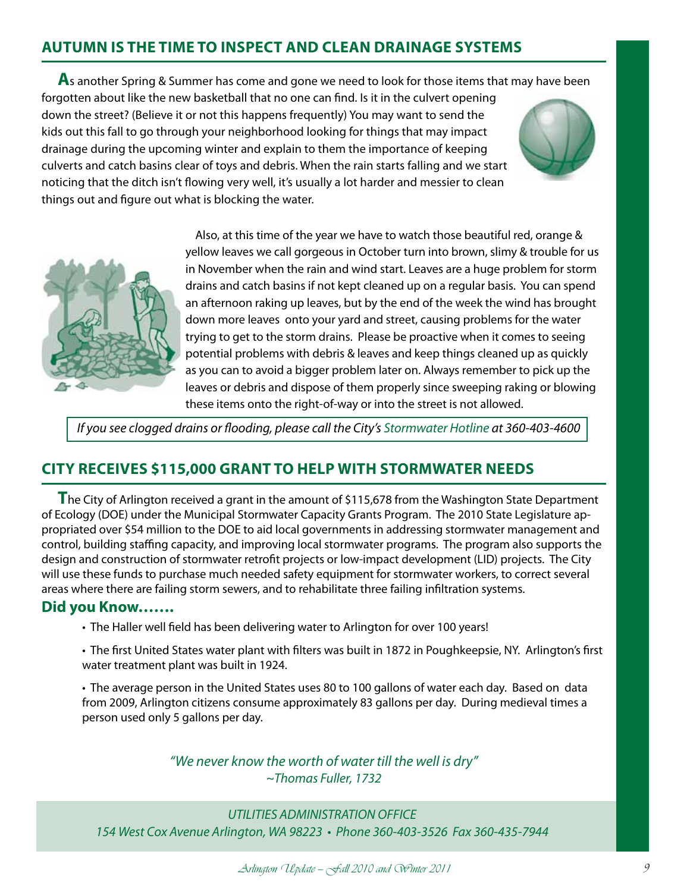## **Autumn is the Time to Inspect and Clean Drainage Systems**

**A**s another Spring & Summer has come and gone we need to look for those items that may have been

forgotten about like the new basketball that no one can find. Is it in the culvert opening down the street? (Believe it or not this happens frequently) You may want to send the kids out this fall to go through your neighborhood looking for things that may impact drainage during the upcoming winter and explain to them the importance of keeping culverts and catch basins clear of toys and debris. When the rain starts falling and we start noticing that the ditch isn't flowing very well, it's usually a lot harder and messier to clean things out and figure out what is blocking the water.





Also, at this time of the year we have to watch those beautiful red, orange & yellow leaves we call gorgeous in October turn into brown, slimy & trouble for us in November when the rain and wind start. Leaves are a huge problem for storm drains and catch basins if not kept cleaned up on a regular basis. You can spend an afternoon raking up leaves, but by the end of the week the wind has brought down more leaves onto your yard and street, causing problems for the water trying to get to the storm drains. Please be proactive when it comes to seeing potential problems with debris & leaves and keep things cleaned up as quickly as you can to avoid a bigger problem later on. Always remember to pick up the leaves or debris and dispose of them properly since sweeping raking or blowing these items onto the right-of-way or into the street is not allowed.

*If you see clogged drains or flooding, please call the City's Stormwater Hotline at 360-403-4600*

## **City Receives \$115,000 Grant to Help with Stormwater Needs**

**T**he City of Arlington received a grant in the amount of \$115,678 from the Washington State Department of Ecology (DOE) under the Municipal Stormwater Capacity Grants Program. The 2010 State Legislature appropriated over \$54 million to the DOE to aid local governments in addressing stormwater management and control, building staffing capacity, and improving local stormwater programs. The program also supports the design and construction of stormwater retrofit projects or low-impact development (LID) projects. The City will use these funds to purchase much needed safety equipment for stormwater workers, to correct several areas where there are failing storm sewers, and to rehabilitate three failing infiltration systems.

### **Did you Know…….**

- The Haller well field has been delivering water to Arlington for over 100 years!
- The first United States water plant with filters was built in 1872 in Poughkeepsie, NY. Arlington's first water treatment plant was built in 1924.

• The average person in the United States uses 80 to 100 gallons of water each day. Based on data from 2009, Arlington citizens consume approximately 83 gallons per day. During medieval times a person used only 5 gallons per day.

> *"We never know the worth of water till the well is dry" ~Thomas Fuller, 1732*

*UTILITIES ADMINISTRATION OFFICE 154 West Cox Avenue Arlington, WA 98223 • Phone 360-403-3526 Fax 360-435-7944*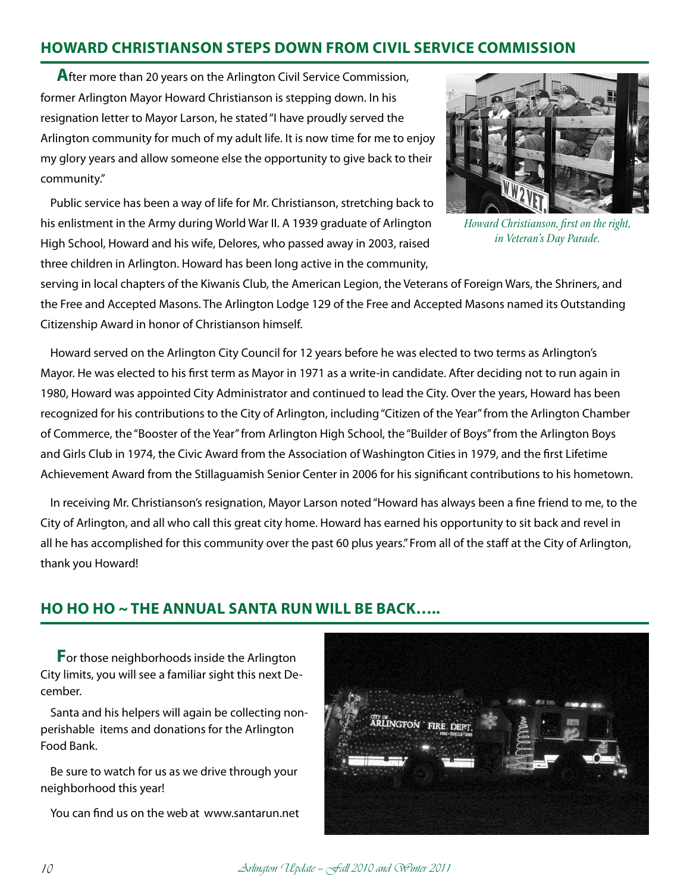## **HOWARD CHRISTIANSON STEPS DOWN FROM CIVIL SERVICE COMMISSION**

**A**fter more than 20 years on the Arlington Civil Service Commission, former Arlington Mayor Howard Christianson is stepping down. In his resignation letter to Mayor Larson, he stated "I have proudly served the Arlington community for much of my adult life. It is now time for me to enjoy my glory years and allow someone else the opportunity to give back to their community."

Public service has been a way of life for Mr. Christianson, stretching back to his enlistment in the Army during World War II. A 1939 graduate of Arlington High School, Howard and his wife, Delores, who passed away in 2003, raised three children in Arlington. Howard has been long active in the community,



*Howard Christianson, first on the right, in Veteran's Day Parade.*

serving in local chapters of the Kiwanis Club, the American Legion, the Veterans of Foreign Wars, the Shriners, and the Free and Accepted Masons. The Arlington Lodge 129 of the Free and Accepted Masons named its Outstanding Citizenship Award in honor of Christianson himself.

Howard served on the Arlington City Council for 12 years before he was elected to two terms as Arlington's Mayor. He was elected to his first term as Mayor in 1971 as a write-in candidate. After deciding not to run again in 1980, Howard was appointed City Administrator and continued to lead the City. Over the years, Howard has been recognized for his contributions to the City of Arlington, including "Citizen of the Year" from the Arlington Chamber of Commerce, the "Booster of the Year" from Arlington High School, the "Builder of Boys" from the Arlington Boys and Girls Club in 1974, the Civic Award from the Association of Washington Cities in 1979, and the first Lifetime Achievement Award from the Stillaguamish Senior Center in 2006 for his significant contributions to his hometown.

In receiving Mr. Christianson's resignation, Mayor Larson noted "Howard has always been a fine friend to me, to the City of Arlington, and all who call this great city home. Howard has earned his opportunity to sit back and revel in all he has accomplished for this community over the past 60 plus years." From all of the staff at the City of Arlington, thank you Howard!

## **HO HO HO ~ THE ANNUAL SANTA RUN WILL BE BACK…..**

**F**or those neighborhoods inside the Arlington City limits, you will see a familiar sight this next December.

Santa and his helpers will again be collecting nonperishable items and donations for the Arlington Food Bank.

Be sure to watch for us as we drive through your neighborhood this year!

You can find us on the web at www.santarun.net

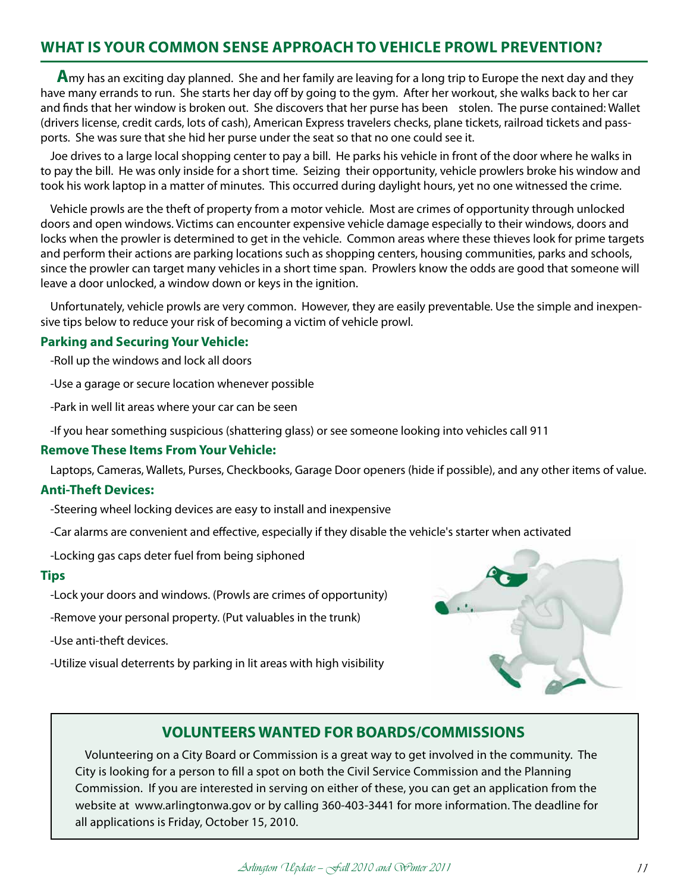## **WHAT IS YOUR COMMON SENSE APPROACH TO VEHICLE PROWL PREVENTION?**

**A**my has an exciting day planned. She and her family are leaving for a long trip to Europe the next day and they have many errands to run. She starts her day off by going to the gym. After her workout, she walks back to her car and finds that her window is broken out. She discovers that her purse has been stolen. The purse contained: Wallet (drivers license, credit cards, lots of cash), American Express travelers checks, plane tickets, railroad tickets and passports. She was sure that she hid her purse under the seat so that no one could see it.

Joe drives to a large local shopping center to pay a bill. He parks his vehicle in front of the door where he walks in to pay the bill. He was only inside for a short time. Seizing their opportunity, vehicle prowlers broke his window and took his work laptop in a matter of minutes. This occurred during daylight hours, yet no one witnessed the crime.

Vehicle prowls are the theft of property from a motor vehicle. Most are crimes of opportunity through unlocked doors and open windows. Victims can encounter expensive vehicle damage especially to their windows, doors and locks when the prowler is determined to get in the vehicle. Common areas where these thieves look for prime targets and perform their actions are parking locations such as shopping centers, housing communities, parks and schools, since the prowler can target many vehicles in a short time span. Prowlers know the odds are good that someone will leave a door unlocked, a window down or keys in the ignition.

Unfortunately, vehicle prowls are very common. However, they are easily preventable. Use the simple and inexpensive tips below to reduce your risk of becoming a victim of vehicle prowl.

### **Parking and Securing Your Vehicle:**

- -Roll up the windows and lock all doors
- -Use a garage or secure location whenever possible
- -Park in well lit areas where your car can be seen
- -If you hear something suspicious (shattering glass) or see someone looking into vehicles call 911

### **Remove These Items From Your Vehicle:**

Laptops, Cameras, Wallets, Purses, Checkbooks, Garage Door openers (hide if possible), and any other items of value.

### **Anti-Theft Devices:**

- -Steering wheel locking devices are easy to install and inexpensive
- -Car alarms are convenient and effective, especially if they disable the vehicle's starter when activated
- -Locking gas caps deter fuel from being siphoned

#### **Tips**

- -Lock your doors and windows. (Prowls are crimes of opportunity)
- -Remove your personal property. (Put valuables in the trunk)

-Use anti-theft devices.

-Utilize visual deterrents by parking in lit areas with high visibility



## **VOLUNTEERS WANTED FOR BOARDS/COMMISSIONS**

Volunteering on a City Board or Commission is a great way to get involved in the community. The City is looking for a person to fill a spot on both the Civil Service Commission and the Planning Commission. If you are interested in serving on either of these, you can get an application from the website at www.arlingtonwa.gov or by calling 360-403-3441 for more information. The deadline for all applications is Friday, October 15, 2010.